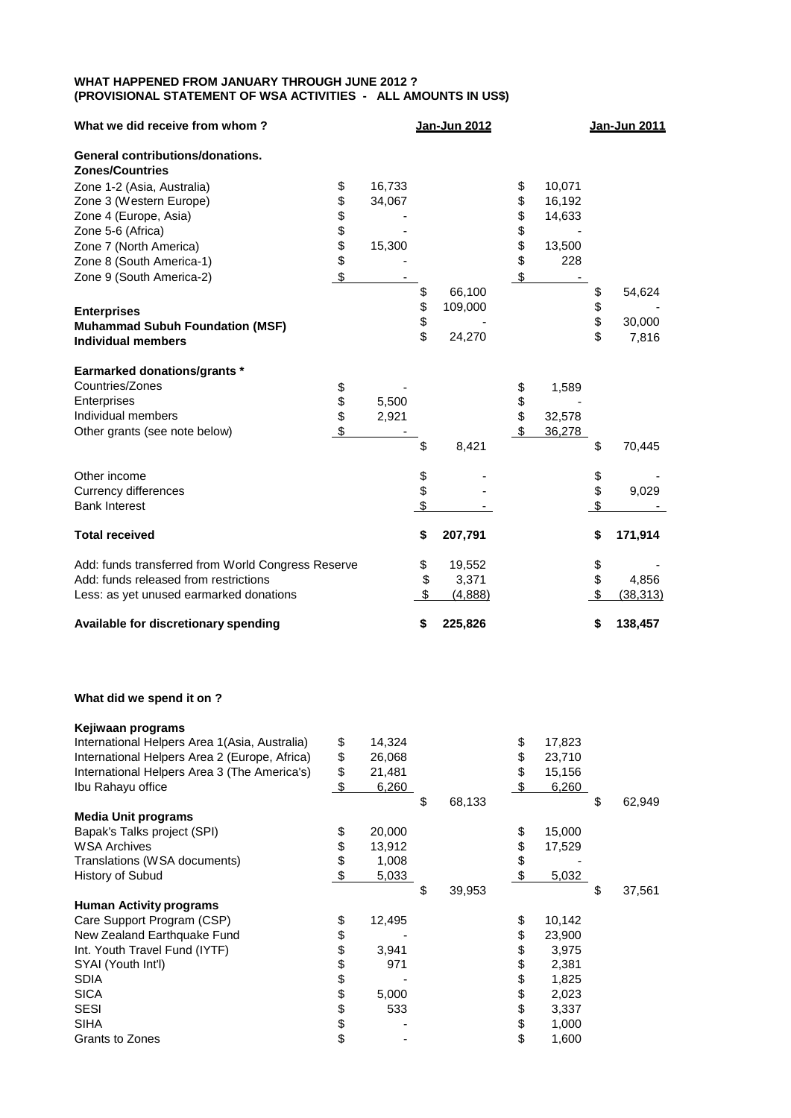## **WHAT HAPPENED FROM JANUARY THROUGH JUNE 2012 ? (PROVISIONAL STATEMENT OF WSA ACTIVITIES - ALL AMOUNTS IN US\$)**

| What we did receive from whom?                     |          |        |          | Jan-Jun 2012 |          |        |          | Jan-Jun 2011 |
|----------------------------------------------------|----------|--------|----------|--------------|----------|--------|----------|--------------|
| <b>General contributions/donations.</b>            |          |        |          |              |          |        |          |              |
| <b>Zones/Countries</b>                             |          |        |          |              |          |        |          |              |
| Zone 1-2 (Asia, Australia)                         | \$       | 16,733 |          |              | \$       | 10,071 |          |              |
| Zone 3 (Western Europe)                            | \$       | 34,067 |          |              | \$       | 16,192 |          |              |
| Zone 4 (Europe, Asia)                              |          |        |          |              |          | 14,633 |          |              |
| Zone 5-6 (Africa)                                  | \$\$\$\$ |        |          |              | \$\$\$   |        |          |              |
| Zone 7 (North America)                             |          | 15,300 |          |              |          | 13,500 |          |              |
| Zone 8 (South America-1)                           |          |        |          |              |          | 228    |          |              |
| Zone 9 (South America-2)                           | \$       |        |          |              | \$       |        |          |              |
|                                                    |          |        | \$       | 66,100       |          |        | \$       | 54,624       |
| <b>Enterprises</b>                                 |          |        |          | 109,000      |          |        |          |              |
| <b>Muhammad Subuh Foundation (MSF)</b>             |          |        | \$<br>\$ |              |          |        | \$<br>\$ | 30,000       |
| <b>Individual members</b>                          |          |        | \$       | 24,270       |          |        | \$       | 7,816        |
| <b>Earmarked donations/grants *</b>                |          |        |          |              |          |        |          |              |
| Countries/Zones                                    | \$       |        |          |              | \$       | 1,589  |          |              |
| Enterprises                                        |          | 5,500  |          |              |          |        |          |              |
| Individual members                                 | \$       | 2,921  |          |              | \$<br>\$ | 32,578 |          |              |
| Other grants (see note below)                      | \$       |        |          |              | \$       | 36,278 |          |              |
|                                                    |          |        | \$       | 8,421        |          |        | \$       | 70,445       |
| Other income                                       |          |        |          |              |          |        |          |              |
| <b>Currency differences</b>                        |          |        | \$<br>\$ |              |          |        | \$       | 9,029        |
| <b>Bank Interest</b>                               |          |        | \$       |              |          |        | \$       |              |
| <b>Total received</b>                              |          |        | \$       | 207,791      |          |        | \$       | 171,914      |
| Add: funds transferred from World Congress Reserve |          |        | \$       | 19,552       |          |        | \$       |              |
| Add: funds released from restrictions              |          |        | \$       | 3,371        |          |        | \$       | 4,856        |
| Less: as yet unused earmarked donations            |          |        | \$       | (4,888)      |          |        | \$       | (38, 313)    |
| Available for discretionary spending               |          |        | \$       | 225,826      |          |        | \$       | 138,457      |

## **What did we spend it on ?**

| Kejiwaan programs                             |              |              |              |              |
|-----------------------------------------------|--------------|--------------|--------------|--------------|
| International Helpers Area 1(Asia, Australia) | \$<br>14,324 |              | \$<br>17,823 |              |
| International Helpers Area 2 (Europe, Africa) | \$<br>26,068 |              | \$<br>23,710 |              |
| International Helpers Area 3 (The America's)  | \$<br>21,481 |              | \$<br>15,156 |              |
| Ibu Rahayu office                             | \$<br>6,260  |              | 6,260        |              |
|                                               |              | \$<br>68,133 |              | \$<br>62,949 |
| <b>Media Unit programs</b>                    |              |              |              |              |
| Bapak's Talks project (SPI)                   | \$<br>20,000 |              | \$<br>15,000 |              |
| <b>WSA Archives</b>                           | \$<br>13,912 |              | \$<br>17,529 |              |
| Translations (WSA documents)                  | \$<br>1,008  |              | \$           |              |
| History of Subud                              | \$<br>5,033  |              | 5,032        |              |
|                                               |              | \$<br>39,953 |              | \$<br>37,561 |
| <b>Human Activity programs</b>                |              |              |              |              |
| Care Support Program (CSP)                    | \$<br>12,495 |              | \$<br>10,142 |              |
| New Zealand Earthquake Fund                   | \$           |              | \$<br>23,900 |              |
| Int. Youth Travel Fund (IYTF)                 | \$<br>3,941  |              | \$<br>3,975  |              |
| SYAI (Youth Int'l)                            | \$<br>971    |              | \$<br>2,381  |              |
| <b>SDIA</b>                                   | \$           |              | \$<br>1,825  |              |
| <b>SICA</b>                                   | \$<br>5,000  |              | \$<br>2,023  |              |
| <b>SESI</b>                                   | \$<br>533    |              | \$<br>3,337  |              |
| <b>SIHA</b>                                   | \$           |              | \$<br>1,000  |              |
| Grants to Zones                               | \$           |              | \$<br>1,600  |              |
|                                               |              |              |              |              |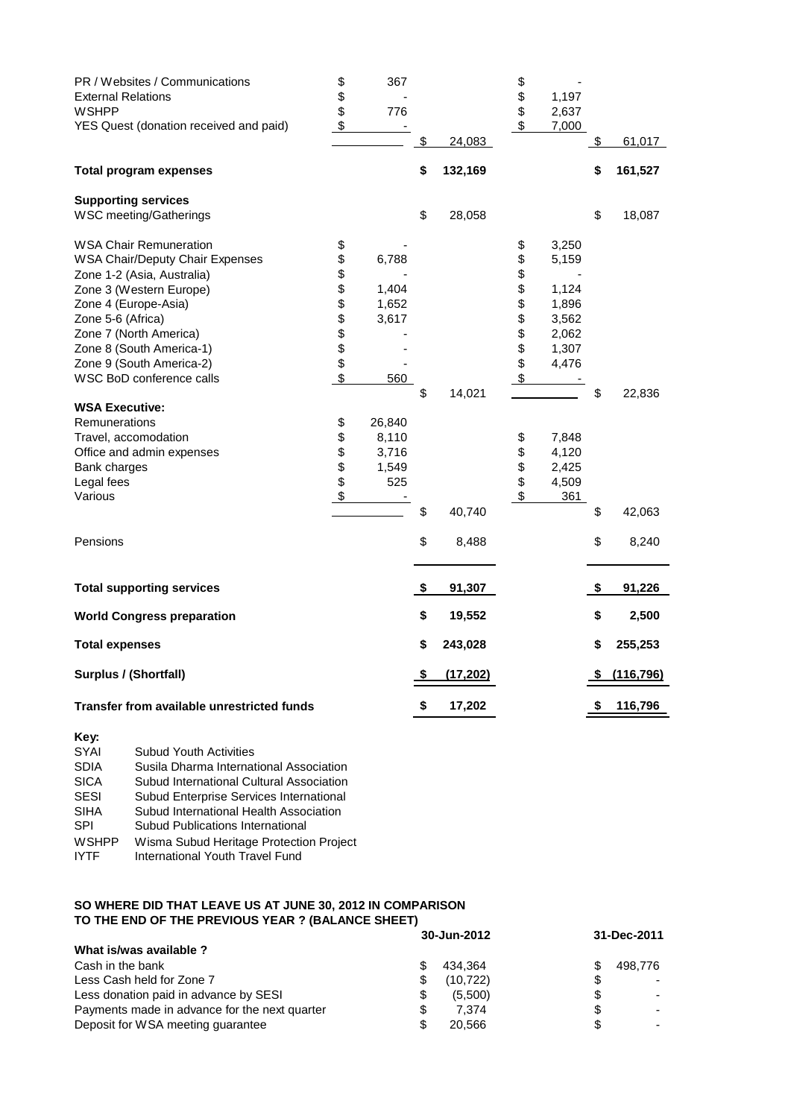| PR / Websites / Communications                         | \$     | 367    |               | \$       |                |               |            |
|--------------------------------------------------------|--------|--------|---------------|----------|----------------|---------------|------------|
| <b>External Relations</b>                              | \$     |        |               | \$       | 1,197          |               |            |
| <b>WSHPP</b><br>YES Quest (donation received and paid) | \$.    | 776    |               | \$<br>\$ | 2,637<br>7,000 |               |            |
|                                                        |        |        | \$<br>24,083  |          |                |               | 61,017     |
| <b>Total program expenses</b>                          |        |        | \$<br>132,169 |          |                | \$            | 161,527    |
| <b>Supporting services</b>                             |        |        |               |          |                |               |            |
| WSC meeting/Gatherings                                 |        |        | \$<br>28,058  |          |                | \$            | 18,087     |
| <b>WSA Chair Remuneration</b>                          | \$     |        |               | \$       | 3,250          |               |            |
| <b>WSA Chair/Deputy Chair Expenses</b>                 | \$     | 6,788  |               | \$       | 5,159          |               |            |
| Zone 1-2 (Asia, Australia)                             | \$     |        |               | \$       |                |               |            |
| Zone 3 (Western Europe)                                | \$     | 1,404  |               | \$       | 1,124          |               |            |
| Zone 4 (Europe-Asia)                                   | \$     | 1,652  |               | \$       | 1,896          |               |            |
| Zone 5-6 (Africa)                                      | \$\$\$ | 3,617  |               | \$       | 3,562          |               |            |
| Zone 7 (North America)                                 |        |        |               | \$       | 2,062          |               |            |
| Zone 8 (South America-1)                               |        |        |               |          | 1,307          |               |            |
| Zone 9 (South America-2)                               |        |        |               | \$       | 4,476          |               |            |
| WSC BoD conference calls                               | \$     | 560    |               | \$       |                |               |            |
| <b>WSA Executive:</b>                                  |        |        | \$<br>14,021  |          |                | \$            | 22,836     |
| Remunerations                                          | \$     | 26,840 |               |          |                |               |            |
| Travel, accomodation                                   | \$     | 8,110  |               | \$       | 7,848          |               |            |
| Office and admin expenses                              | \$     | 3,716  |               | \$       | 4,120          |               |            |
| Bank charges                                           |        | 1,549  |               |          | 2,425          |               |            |
| Legal fees                                             | \$     | 525    |               | \$       | 4,509          |               |            |
| Various                                                | \$     |        |               | \$       | 361            |               |            |
|                                                        |        |        | \$<br>40,740  |          |                | \$            | 42,063     |
| Pensions                                               |        |        | \$<br>8,488   |          |                | \$            | 8,240      |
| <b>Total supporting services</b>                       |        |        | \$<br>91,307  |          |                | $\sqrt[6]{3}$ | 91,226     |
| <b>World Congress preparation</b>                      |        |        | \$<br>19,552  |          |                | \$            | 2,500      |
| <b>Total expenses</b>                                  |        |        | \$<br>243,028 |          |                | \$            | 255,253    |
| <b>Surplus / (Shortfall)</b>                           |        |        | (17, 202)     |          |                |               | (116, 796) |
| Transfer from available unrestricted funds             |        |        | \$<br>17,202  |          |                | \$            | 116,796    |

**Key:**

| 1 W Y .     |                                          |
|-------------|------------------------------------------|
| <b>SYAI</b> | <b>Subud Youth Activities</b>            |
| <b>SDIA</b> | Susila Dharma International Association  |
| <b>SICA</b> | Subud International Cultural Association |
| SESI        | Subud Enterprise Services International  |
| SIHA        | Subud International Health Association   |
| SPI         | Subud Publications International         |
| WSHPP       | Wisma Subud Heritage Protection Project  |
| IYTF        | International Youth Travel Fund          |
|             |                                          |

## **SO WHERE DID THAT LEAVE US AT JUNE 30, 2012 IN COMPARISON TO THE END OF THE PREVIOUS YEAR ? (BALANCE SHEET)**

|                                                     | 30-Jun-2012 | 31-Dec-2011 |  |  |
|-----------------------------------------------------|-------------|-------------|--|--|
| What is/was available ?                             |             |             |  |  |
| Cash in the bank<br>S.                              | 434.364     | 498.776     |  |  |
| Less Cash held for Zone 7<br>\$                     | (10, 722)   | S           |  |  |
| Less donation paid in advance by SESI<br>S          | (5.500)     | S           |  |  |
| Payments made in advance for the next quarter<br>\$ | 7.374       | S           |  |  |
| Deposit for WSA meeting quarantee<br>\$             | 20.566      | \$.         |  |  |